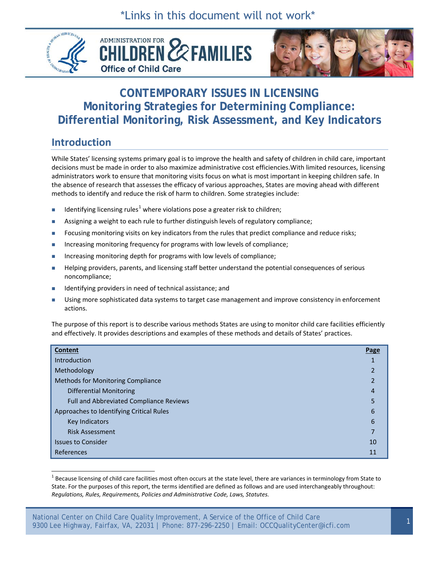\*Links in this document will not work\*







# **CONTEMPORARY ISSUES IN LICENSING Monitoring Strategies for Determining Compliance: Differential Monitoring, Risk Assessment, and Key Indicators**

# **Introduction**

While States' licensing systems primary goal is to improve the health and safety of children in child care, important decisions must be made in order to also maximize administrative cost efficiencies.With limited resources, licensing administrators work to ensure that monitoring visits focus on what is most important in keeping children safe. In the absence of research that assesses the efficacy of various approaches, States are moving ahead with different methods to identify and reduce the risk of harm to children. Some strategies include:

- Identifying licensing rules<sup>[1](#page-0-0)</sup> where violations pose a greater risk to children;
- Assigning a weight to each rule to further distinguish levels of regulatory compliance;
- Focusing monitoring visits on key indicators from the rules that predict compliance and reduce risks;
- Increasing monitoring frequency for programs with low levels of compliance;
- Increasing monitoring depth for programs with low levels of compliance;
- Helping providers, parents, and licensing staff better understand the potential consequences of serious noncompliance;
- Identifying providers in need of technical assistance; and
- **Using more sophisticated data systems to target case management and improve consistency in enforcement** actions.

The purpose of this report is to describe various methods States are using to monitor child care facilities efficiently and effectively. It provides descriptions and examples of these methods and details of States' practices.

| Content                                        | Page                    |
|------------------------------------------------|-------------------------|
| Introduction                                   |                         |
| Methodology                                    | $\overline{\mathbf{c}}$ |
| Methods for Monitoring Compliance              |                         |
| <b>Differential Monitoring</b>                 | 4                       |
| <b>Full and Abbreviated Compliance Reviews</b> | 5                       |
| Approaches to Identifying Critical Rules       | 6                       |
| Key Indicators                                 | 6                       |
| <b>Risk Assessment</b>                         | ⇁                       |
| <b>Issues to Consider</b>                      | 10                      |
| References                                     | 11                      |

<span id="page-0-0"></span> $1$  Because licensing of child care facilities most often occurs at the state level, there are variances in terminology from State to State. For the purposes of this report, the terms identified are defined as follows and are used interchangeably throughout: *Regulations, Rules, Requirements, Policies and Administrative Code, Laws, Statutes.*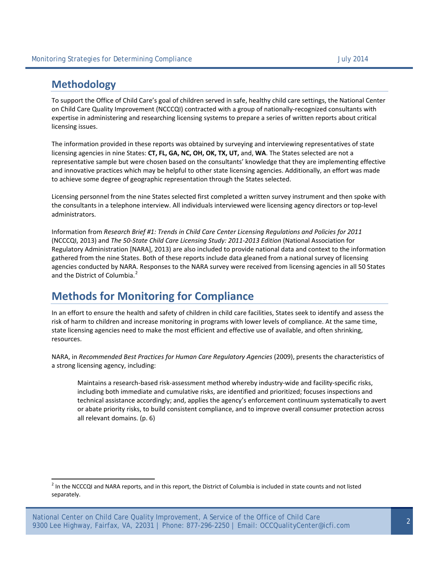## **Methodology**

 $\overline{a}$ 

To support the Office of Child Care's goal of children served in safe, healthy child care settings, the National Center on Child Care Quality Improvement (NCCCQI) contracted with a group of nationally-recognized consultants with expertise in administering and researching licensing systems to prepare a series of written reports about critical licensing issues.

The information provided in these reports was obtained by surveying and interviewing representatives of state licensing agencies in nine States: **CT, FL, GA, NC, OH, OK, TX, UT,** and, **WA**. The States selected are not a representative sample but were chosen based on the consultants' knowledge that they are implementing effective and innovative practices which may be helpful to other state licensing agencies. Additionally, an effort was made to achieve some degree of geographic representation through the States selected.

Licensing personnel from the nine States selected first completed a written survey instrument and then spoke with the consultants in a telephone interview. All individuals interviewed were licensing agency directors or top-level administrators.

Information from *Research Brief #1: Trends in Child Care Center Licensing Regulations and Policies for 2011* (NCCCQI, 2013) and *The 50-State Child Care Licensing Study: 2011-2013 Edition* (National Association for Regulatory Administration [NARA], 2013) are also included to provide national data and context to the information gathered from the nine States. Both of these reports include data gleaned from a national survey of licensing agencies conducted by NARA. Responses to the NARA survey were received from licensing agencies in all 50 States and the District of Columbia.<sup>[2](#page-1-0)</sup>

# **Methods for Monitoring for Compliance**

In an effort to ensure the health and safety of children in child care facilities, States seek to identify and assess the risk of harm to children and increase monitoring in programs with lower levels of compliance. At the same time, state licensing agencies need to make the most efficient and effective use of available, and often shrinking, resources.

NARA, in *Recommended Best Practices for Human Care Regulatory Agencies* (2009), presents the characteristics of a strong licensing agency, including:

Maintains a research-based risk-assessment method whereby industry-wide and facility-specific risks, including both immediate and cumulative risks, are identified and prioritized; focuses inspections and technical assistance accordingly; and, applies the agency's enforcement continuum systematically to avert or abate priority risks, to build consistent compliance, and to improve overall consumer protection across all relevant domains. (p. 6)

 $<sup>2</sup>$  In the NCCCQI and NARA reports, and in this report, the District of Columbia is included in state counts and not listed</sup> separately.

<span id="page-1-0"></span>National Center on Child Care Quality Improvement, A Service of the Office of Child Care 9300 Lee Highway, Fairfax, VA, 22031 | Phone: 877-296-2250 | Email: OCCQualityCenter@icfi.com <sup>2</sup>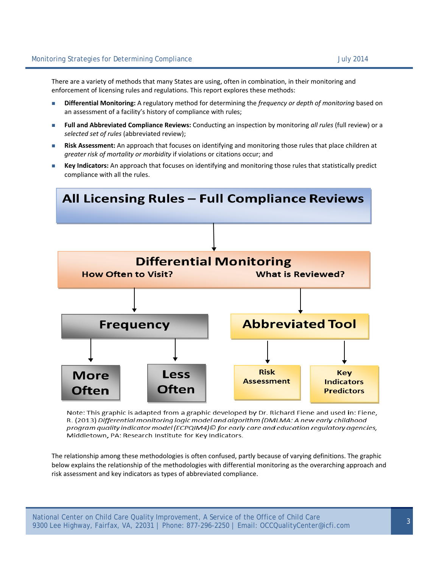There are a variety of methods that many States are using, often in combination, in their monitoring and enforcement of licensing rules and regulations. This report explores these methods:

- **Differential Monitoring:** A regulatory method for determining the *frequency or depth of monitoring* based on an assessment of a facility's history of compliance with rules;
- **Full and Abbreviated Compliance Reviews:** Conducting an inspection by monitoring *all rules* (full review) or a *selected set of rules* (abbreviated review);
- **Risk Assessment:** An approach that focuses on identifying and monitoring those rules that place children at *greater risk of mortality or morbidity* if violations or citations occur; and
- **Key Indicators:** An approach that focuses on identifying and monitoring those rules that statistically predict compliance with all the rules.



Note: This graphic is adapted from a graphic developed by Dr. Richard Fiene and used in: Fiene, R. (2013) Differential monitoring logic model and algorithm (DMLMA: A new early childhood program quality indicator model (ECPQIM4)© for early care and education regulatory agencies, Middletown, PA: Research Institute for Key Indicators.

The relationship among these methodologies is often confused, partly because of varying definitions. The graphic below explains the relationship of the methodologies with differential monitoring as the overarching approach and risk assessment and key indicators as types of abbreviated compliance.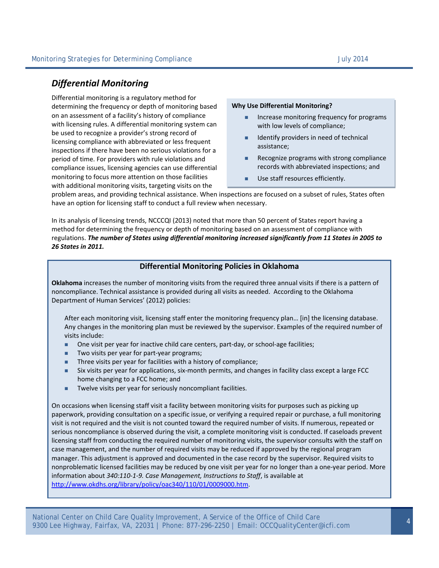## *Differential Monitoring*

Differential monitoring is a regulatory method for determining the frequency or depth of monitoring based on an assessment of a facility's history of compliance with licensing rules. A differential monitoring system can be used to recognize a provider's strong record of licensing compliance with abbreviated or less frequent inspections if there have been no serious violations for a period of time. For providers with rule violations and compliance issues, licensing agencies can use differential monitoring to focus more attention on those facilities with additional monitoring visits, targeting visits on the

#### **Why Use Differential Monitoring?**

- Increase monitoring frequency for programs with low levels of compliance;
- I Identify providers in need of technical assistance;
- Recognize programs with strong compliance records with abbreviated inspections; and
- **Use staff resources efficiently.**

problem areas, and providing technical assistance. When inspections are focused on a subset of rules, States often have an option for licensing staff to conduct a full review when necessary.

In its analysis of licensing trends, NCCCQI (2013) noted that more than 50 percent of States report having a method for determining the frequency or depth of monitoring based on an assessment of compliance with regulations. *The number of States using differential monitoring increased significantly from 11 States in 2005 to 26 States in 2011.*

### **Differential Monitoring Policies in Oklahoma**

**Oklahoma** increases the number of monitoring visits from the required three annual visits if there is a pattern of noncompliance. Technical assistance is provided during all visits as needed. According to the Oklahoma Department of Human Services' (2012) policies:

After each monitoring visit, licensing staff enter the monitoring frequency plan… [in] the licensing database. Any changes in the monitoring plan must be reviewed by the supervisor. Examples of the required number of visits include:

- One visit per year for inactive child care centers, part-day, or school-age facilities;
- Two visits per year for part-year programs;
- **Three visits per year for facilities with a history of compliance;**
- Six visits per year for applications, six-month permits, and changes in facility class except a large FCC home changing to a FCC home; and
- **Twelve visits per year for seriously noncompliant facilities.**

On occasions when licensing staff visit a facility between monitoring visits for purposes such as picking up paperwork, providing consultation on a specific issue, or verifying a required repair or purchase, a full monitoring visit is not required and the visit is not counted toward the required number of visits. If numerous, repeated or serious noncompliance is observed during the visit, a complete monitoring visit is conducted. If caseloads prevent licensing staff from conducting the required number of monitoring visits, the supervisor consults with the staff on case management, and the number of required visits may be reduced if approved by the regional program manager. This adjustment is approved and documented in the case record by the supervisor. Required visits to nonproblematic licensed facilities may be reduced by one visit per year for no longer than a one-year period. More information about *340:110-1-9. Case Management, Instructions to Staff*, is available at http://www.okdhs.org/library/policy/oac340/110/01/0009000.htm.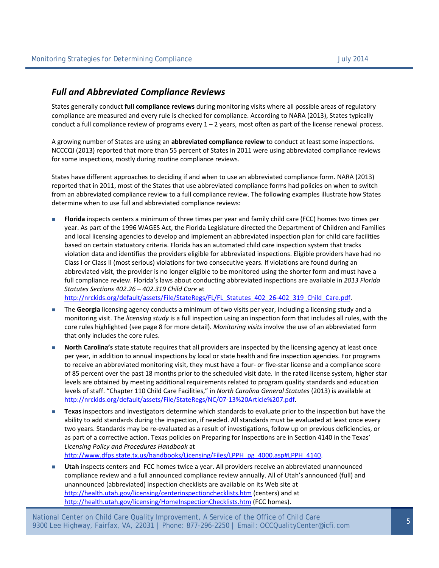### *Full and Abbreviated Compliance Reviews*

States generally conduct **full compliance reviews** during monitoring visits where all possible areas of regulatory compliance are measured and every rule is checked for compliance. According to NARA (2013), States typically conduct a full compliance review of programs every  $1 - 2$  years, most often as part of the license renewal process.

A growing number of States are using an **abbreviated compliance review** to conduct at least some inspections. NCCCQI (2013) reported that more than 55 percent of States in 2011 were using abbreviated compliance reviews for some inspections, mostly during routine compliance reviews.

States have different approaches to deciding if and when to use an abbreviated compliance form. NARA (2013) reported that in 2011, most of the States that use abbreviated compliance forms had policies on when to switch from an abbreviated compliance review to a full compliance review. The following examples illustrate how States determine when to use full and abbreviated compliance reviews:

 **Florida** inspects centers a minimum of three times per year and family child care (FCC) homes two times per year. As part of the 1996 WAGES Act, the Florida Legislature directed the Department of Children and Families and local licensing agencies to develop and implement an abbreviated inspection plan for child care facilities based on certain statuatory criteria. Florida has an automated child care inspection system that tracks violation data and identifies the providers eligible for abbreviated inspections. Eligible providers have had no Class I or Class II (most serious) violations for two consecutive years. If violations are found during an abbreviated visit, the provider is no longer eligible to be monitored using the shorter form and must have a full compliance review. Florida's laws about conducting abbreviated inspections are available in *2013 Florida Statutes Sections 402.26 – 402.319 Child Care* at http://nrckids.org/default/assets/File/StateRegs/FL/FL\_Statutes\_402\_26-402\_319\_Child\_Care.pdf.

 The **Georgia** licensing agency conducts a minimum of two visits per year, including a licensing study and a monitoring visit. The *licensing study* is a full inspection using an inspection form that includes all rules, with the core rules highlighted (see page 8 for more detail). *Monitoring visits* involve the use of an abbreviated form that only includes the core rules.

- **North Carolina's** state statute requires that all providers are inspected by the licensing agency at least once per year, in addition to annual inspections by local or state health and fire inspection agencies. For programs to receive an abbreviated monitoring visit, they must have a four- or five-star license and a compliance score of 85 percent over the past 18 months prior to the scheduled visit date. In the rated license system, higher star levels are obtained by meeting additional requirements related to program quality standards and education levels of staff. "Chapter 110 Child Care Facilities," in *North Carolina General Statutes* (2013) is available at http://nrckids.org/default/assets/File/StateRegs/NC/07-13%20Article%207.pdf.
- **T**e**xas** inspectors and investigators determine which standards to evaluate prior to the inspection but have the ability to add standards during the inspection, if needed. All standards must be evaluated at least once every two years. Standards may be re-evaluated as a result of investigations, follow up on previous deficiencies, or as part of a corrective action. Texas policies on Preparing for Inspections are in Section 4140 in the Texas' *Licensing Policy and Procedures Handbook* at

http://www.dfps.state.tx.us/handbooks/Licensing/Files/LPPH\_pg\_4000.asp#LPPH\_4140.

 **Utah** inspects centers and FCC homes twice a year. All providers receive an abbreviated unannounced compliance review and a full announced compliance review annually. All of Utah's announced (full) and unannounced (abbreviated) inspection checklists are available on its Web site at http://health.utah.gov/licensing/centerinspectionchecklists.htm (centers) and at http://health.utah.gov/licensing/HomeInspectionChecklists.htm (FCC homes).

National Center on Child Care Quality Improvement, A Service of the Office of Child Care 9300 Lee Highway, Fairfax, VA, 22031 | Phone: 877-296-2250 | Email: OCCQualityCenter@icfi.com <sup>5</sup>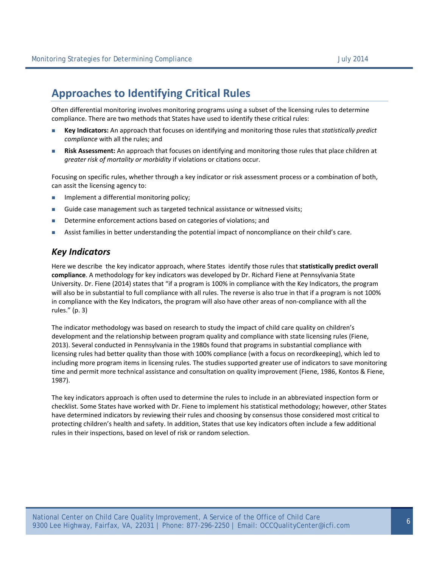# **Approaches to Identifying Critical Rules**

Often differential monitoring involves monitoring programs using a subset of the licensing rules to determine compliance. There are two methods that States have used to identify these critical rules:

- **Key Indicators:** An approach that focuses on identifying and monitoring those rules that *statistically predict compliance* with all the rules; and
- **Risk Assessment:** An approach that focuses on identifying and monitoring those rules that place children at *greater risk of mortality or morbidity* if violations or citations occur.

Focusing on specific rules, whether through a key indicator or risk assessment process or a combination of both, can assit the licensing agency to:

- **IMPLEMENTE A differential monitoring policy;**
- Guide case management such as targeted technical assistance or witnessed visits;
- Determine enforcement actions based on categories of violations; and
- **Assist families in better understanding the potential impact of noncompliance on their child's care.**

### *Key Indicators*

Here we describe the key indicator approach, where States identify those rules that **statistically predict overall compliance**. A methodology for key indicators was developed by Dr. Richard Fiene at Pennsylvania State University. Dr. Fiene (2014) states that "if a program is 100% in compliance with the Key Indicators, the program will also be in substantial to full compliance with all rules. The reverse is also true in that if a program is not 100% in compliance with the Key Indicators, the program will also have other areas of non-compliance with all the rules." (p. 3)

The indicator methodology was based on research to study the impact of child care quality on children's development and the relationship between program quality and compliance with state licensing rules (Fiene, 2013). Several conducted in Pennsylvania in the 1980s found that programs in substantial compliance with licensing rules had better quality than those with 100% compliance (with a focus on recordkeeping), which led to including more program items in licensing rules. The studies supported greater use of indicators to save monitoring time and permit more technical assistance and consultation on quality improvement (Fiene, 1986, Kontos & Fiene, 1987).

The key indicators approach is often used to determine the rules to include in an abbreviated inspection form or checklist. Some States have worked with Dr. Fiene to implement his statistical methodology; however, other States have determined indicators by reviewing their rules and choosing by consensus those considered most critical to protecting children's health and safety. In addition, States that use key indicators often include a few additional rules in their inspections, based on level of risk or random selection.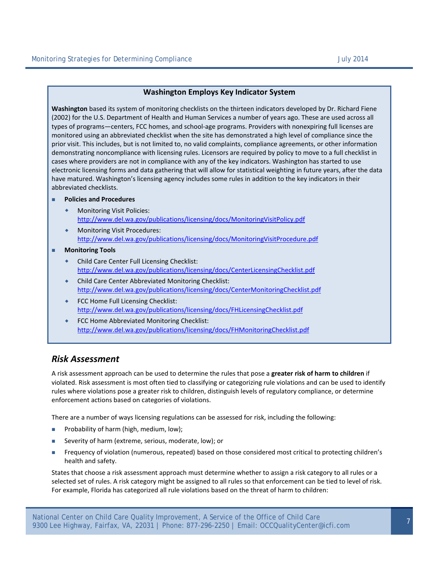### **Washington Employs Key Indicator System**

**Washington** based its system of monitoring checklists on the thirteen indicators developed by Dr. Richard Fiene (2002) for the U.S. Department of Health and Human Services a number of years ago. These are used across all types of programs—centers, FCC homes, and school-age programs. Providers with nonexpiring full licenses are monitored using an abbreviated checklist when the site has demonstrated a high level of compliance since the prior visit. This includes, but is not limited to, no valid complaints, compliance agreements, or other information demonstrating noncompliance with licensing rules. Licensors are required by policy to move to a full checklist in cases where providers are not in compliance with any of the key indicators. Washington has started to use electronic licensing forms and data gathering that will allow for statistical weighting in future years, after the data have matured. Washington's licensing agency includes some rules in addition to the key indicators in their abbreviated checklists.

#### **Policies and Procedures**

- Monitoring Visit Policies: http://www.del.wa.gov/publications/licensing/docs/MonitoringVisitPolicy.pdf
- Monitoring Visit Procedures: http://www.del.wa.gov/publications/licensing/docs/MonitoringVisitProcedure.pdf
- **Monitoring Tools**
	- Child Care Center Full Licensing Checklist: http://www.del.wa.gov/publications/licensing/docs/CenterLicensingChecklist.pdf
	- Child Care Center Abbreviated Monitoring Checklist: http://www.del.wa.gov/publications/licensing/docs/CenterMonitoringChecklist.pdf
	- FCC Home Full Licensing Checklist: http://www.del.wa.gov/publications/licensing/docs/FHLicensingChecklist.pdf
	- ◆ FCC Home Abbreviated Monitoring Checklist: http://www.del.wa.gov/publications/licensing/docs/FHMonitoringChecklist.pdf

### *Risk Assessment*

A risk assessment approach can be used to determine the rules that pose a **greater risk of harm to children** if violated. Risk assessment is most often tied to classifying or categorizing rule violations and can be used to identify rules where violations pose a greater risk to children, distinguish levels of regulatory compliance, or determine enforcement actions based on categories of violations.

There are a number of ways licensing regulations can be assessed for risk, including the following:

- **Probability of harm (high, medium, low);**
- Severity of harm (extreme, serious, moderate, low); or
- Frequency of violation (numerous, repeated) based on those considered most critical to protecting children's health and safety.

States that choose a risk assessment approach must determine whether to assign a risk category to all rules or a selected set of rules. A risk category might be assigned to all rules so that enforcement can be tied to level of risk. For example, Florida has categorized all rule violations based on the threat of harm to children: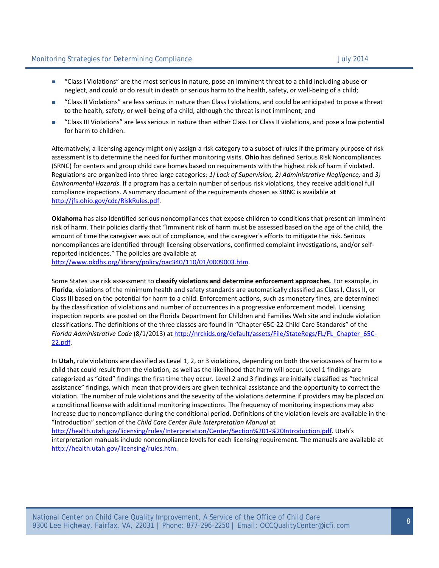- "Class I Violations" are the most serious in nature, pose an imminent threat to a child including abuse or neglect, and could or do result in death or serious harm to the health, safety, or well-being of a child;
- "Class II Violations" are less serious in nature than Class I violations, and could be anticipated to pose a threat to the health, safety, or well-being of a child, although the threat is not imminent; and
- "Class III Violations" are less serious in nature than either Class I or Class II violations, and pose a low potential for harm to children.

Alternatively, a licensing agency might only assign a risk category to a subset of rules if the primary purpose of risk assessment is to determine the need for further monitoring visits. **Ohio** has defined Serious Risk Noncompliances (SRNC) for centers and group child care homes based on requirements with the highest risk of harm if violated. Regulations are organized into three large categories*: 1) Lack of Supervision, 2) Administrative Negligence,* and *3) Environmental Hazards*. If a program has a certain number of serious risk violations, they receive additional full compliance inspections. A summary document of the requirements chosen as SRNC is available at http://jfs.ohio.gov/cdc/RiskRules.pdf.

**Oklahoma** has also identified serious noncompliances that expose children to conditions that present an imminent risk of harm. Their policies clarify that "Imminent risk of harm must be assessed based on the age of the child, the amount of time the caregiver was out of compliance, and the caregiver's efforts to mitigate the risk. Serious noncompliances are identified through licensing observations, confirmed complaint investigations, and/or selfreported incidences." The policies are available at http://www.okdhs.org/library/policy/oac340/110/01/0009003.htm.

Some States use risk assessment to **classify violations and determine enforcement approaches**. For example, in **Florida**, violations of the minimum health and safety standards are automatically classified as Class I, Class II, or Class III based on the potential for harm to a child. Enforcement actions, such as monetary fines, are determined by the classification of violations and number of occurrences in a progressive enforcement model. Licensing inspection reports are posted on the Florida Department for Children and Families Web site and include violation classifications. The definitions of the three classes are found in "Chapter 65C-22 Child Care Standards" of the *Florida Administrative Code* (8/1/2013) at http://nrckids.org/default/assets/File/StateRegs/FL/FL\_Chapter\_65C-22.pdf.

In **Utah,** rule violations are classified as Level 1, 2, or 3 violations, depending on both the seriousness of harm to a child that could result from the violation, as well as the likelihood that harm will occur. Level 1 findings are categorized as "cited" findings the first time they occur. Level 2 and 3 findings are initially classified as "technical assistance" findings, which mean that providers are given technical assistance and the opportunity to correct the violation. The number of rule violations and the severity of the violations determine if providers may be placed on a conditional license with additional monitoring inspections. The frequency of monitoring inspections may also increase due to noncompliance during the conditional period. Definitions of the violation levels are available in the "Introduction" section of the *Child Care Center Rule Interpretation Manual* at

http://health.utah.gov/licensing/rules/Interpretation/Center/Section%201-%20Introduction.pdf. Utah's interpretation manuals include noncompliance levels for each licensing requirement. The manuals are available at http://health.utah.gov/licensing/rules.htm.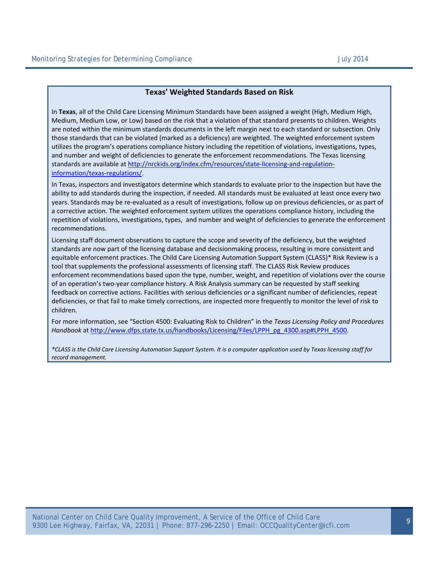### **Texas' Weighted Standards Based on Risk**

In **Texas**, all of the Child Care Licensing Minimum Standards have been assigned a weight (High, Medium High, Medium, Medium Low, or Low) based on the risk that a violation of that standard presents to children. Weights are noted within the minimum standards documents in the left margin next to each standard or subsection. Only those standards that can be violated (marked as a deficiency) are weighted. The weighted enforcement system utilizes the program's operations compliance history including the repetition of violations, investigations, types, and number and weight of deficiencies to generate the enforcement recommendations. The Texas licensing standards are available at http://nrckids.org/index.cfm/resources/state-licensing-and-regulationinformation/texas-regulations/.

In Texas, inspectors and investigators determine which standards to evaluate prior to the inspection but have the ability to add standards during the inspection, if needed. All standards must be evaluated at least once every two years. Standards may be re-evaluated as a result of investigations, follow up on previous deficiencies, or as part of a corrective action. The weighted enforcement system utilizes the operations compliance history, including the repetition of violations, investigations, types, and number and weight of deficiencies to generate the enforcement recommendations.

Licensing staff document observations to capture the scope and severity of the deficiency, but the weighted standards are now part of the licensing database and decisionmaking process, resulting in more consistent and equitable enforcement practices. The Child Care Licensing Automation Support System (CLASS)\* Risk Review is a tool that supplements the professional assessments of licensing staff. The CLASS Risk Review produces enforcement recommendations based upon the type, number, weight, and repetition of violations over the course of an operation's two-year compliance history. A Risk Analysis summary can be requested by staff seeking feedback on corrective actions. Facilities with serious deficiencies or a significant number of deficiencies, repeat deficiencies, or that fail to make timely corrections, are inspected more frequently to monitor the level of risk to children.

For more information, see "Section 4500: Evaluating Risk to Children" in the *Texas Licensing Policy and Procedures Handbook* at http://www.dfps.state.tx.us/handbooks/Licensing/Files/LPPH\_pg\_4300.asp#LPPH\_4500.

*\*CLASS is the Child Care Licensing Automation Support System. It is a computer application used by Texas licensing staff for record management.*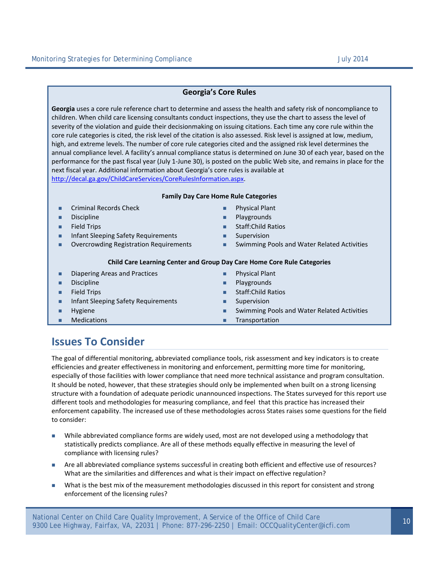### **Georgia's Core Rules**

**Georgia** uses a core rule reference chart to determine and assess the health and safety risk of noncompliance to children. When child care licensing consultants conduct inspections, they use the chart to assess the level of severity of the violation and guide their decisionmaking on issuing citations. Each time any core rule within the core rule categories is cited, the risk level of the citation is also assessed. Risk level is assigned at low, medium, high, and extreme levels. The number of core rule categories cited and the assigned risk level determines the annual compliance level. A facility's annual compliance status is determined on June 30 of each year, based on the performance for the past fiscal year (July 1-June 30), is posted on the public Web site, and remains in place for the next fiscal year. Additional information about Georgia's core rules is available at http://decal.ga.gov/ChildCareServices/CoreRulesInformation.aspx.

#### **Family Day Care Home Rule Categories**

- **Example 2** Criminal Records Check **Contact Contact Contact Contact Contact Contact Plant**
- **Discipline Playgrounds**
- 
- **Infant Sleeping Safety Requirements**
- **D** Overcrowding Registration Requirements
- 
- 
- **Field Trips Staff:Child Ratios** 
	- **Supervision**
	- **Swimming Pools and Water Related Activities**

#### **Child Care Learning Center and Group Day Care Home Core Rule Categories**

- **Diapering Areas and Practices Physical Plant**
- **Discipline Playgrounds**
- 
- **Infant Sleeping Safety Requirements Example 20 Infant Sleeping Safety Requirements**
- 
- 
- 
- **Field Trips Staff:Child Ratios** 
	-
- **EXECUTE:** Hygiene **Swimming Pools and Water Related Activities CO**
- **Medications Transportation**

# **Issues To Consider**

The goal of differential monitoring, abbreviated compliance tools, risk assessment and key indicators is to create efficiencies and greater effectiveness in monitoring and enforcement, permitting more time for monitoring, especially of those facilities with lower compliance that need more technical assistance and program consultation. It should be noted, however, that these strategies should only be implemented when built on a strong licensing structure with a foundation of adequate periodic unannounced inspections. The States surveyed for this report use different tools and methodologies for measuring compliance, and feel that this practice has increased their enforcement capability. The increased use of these methodologies across States raises some questions for the field to consider:

- While abbreviated compliance forms are widely used, most are not developed using a methodology that statistically predicts compliance. Are all of these methods equally effective in measuring the level of compliance with licensing rules?
- Are all abbreviated compliance systems successful in creating both efficient and effective use of resources? What are the similarities and differences and what is their impact on effective regulation?
- What is the best mix of the measurement methodologies discussed in this report for consistent and strong enforcement of the licensing rules?

National Center on Child Care Quality Improvement, A Service of the Office of Child Care national center on child care Quality improvement, A service or the Office or child care<br>9300 Lee Highway, Fairfax, VA, 22031 | Phone: 877-296-2250 | Email: OCCQualityCenter@icfi.com